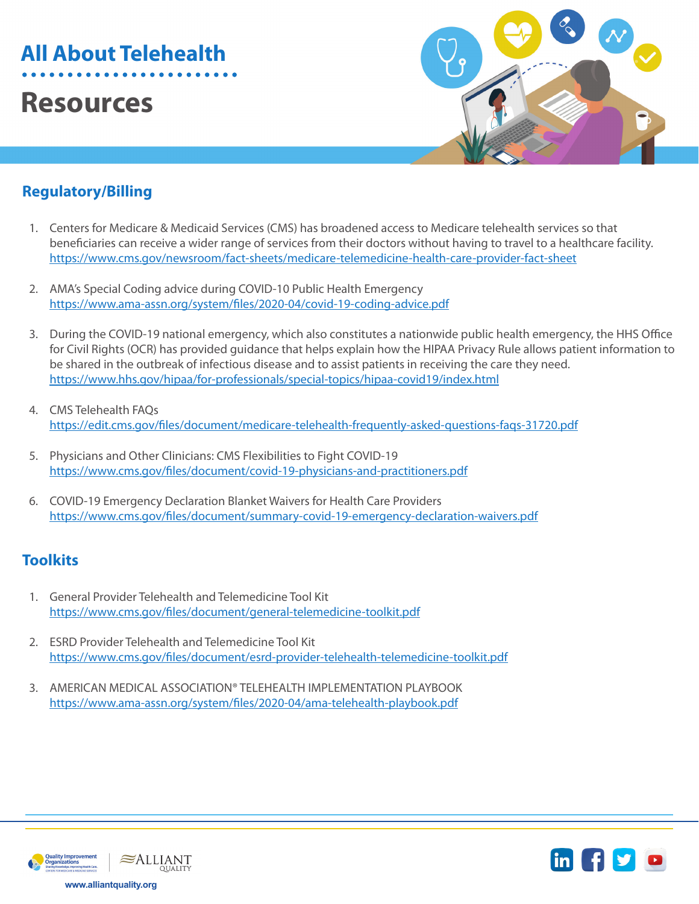# **All About Telehealth**

## **Resources**



## **Regulatory/Billing**

- 1. Centers for Medicare & Medicaid Services (CMS) has broadened access to Medicare telehealth services so that beneficiaries can receive a wider range of services from their doctors without having to travel to a healthcare facility. <https://www.cms.gov/newsroom/fact-sheets/medicare-telemedicine-health-care-provider-fact-sheet>
- 2. AMA's Special Coding advice during COVID-10 Public Health Emergency <https://www.ama-assn.org/system/files/2020-04/covid-19-coding-advice.pdf>
- 3. During the COVID-19 national emergency, which also constitutes a nationwide public health emergency, the HHS Office for Civil Rights (OCR) has provided guidance that helps explain how the HIPAA Privacy Rule allows patient information to be shared in the outbreak of infectious disease and to assist patients in receiving the care they need. <https://www.hhs.gov/hipaa/for-professionals/special-topics/hipaa-covid19/index.html>
- 4. CMS Telehealth FAQs <https://edit.cms.gov/files/document/medicare-telehealth-frequently-asked-questions-faqs-31720.pdf>
- 5. Physicians and Other Clinicians: CMS Flexibilities to Fight COVID-19 <https://www.cms.gov/files/document/covid-19-physicians-and-practitioners.pdf>
- 6. COVID-19 Emergency Declaration Blanket Waivers for Health Care Providers <https://www.cms.gov/files/document/summary-covid-19-emergency-declaration-waivers.pdf>

#### **Toolkits**

- 1. General Provider Telehealth and Telemedicine Tool Kit [https://www.cms.gov/files/document/general-telemedicine-toolkit.pdf](https://www.cms.gov/files/document/general-telemedicine-toolkit.pdf )
- 2. ESRD Provider Telehealth and Telemedicine Tool Kit <https://www.cms.gov/files/document/esrd-provider-telehealth-telemedicine-toolkit.pdf>
- 3. AMERICAN MEDICAL ASSOCIATION® TELEHEALTH IMPLEMENTATION PLAYBOOK <https://www.ama-assn.org/system/files/2020-04/ama-telehealth-playbook.pdf>